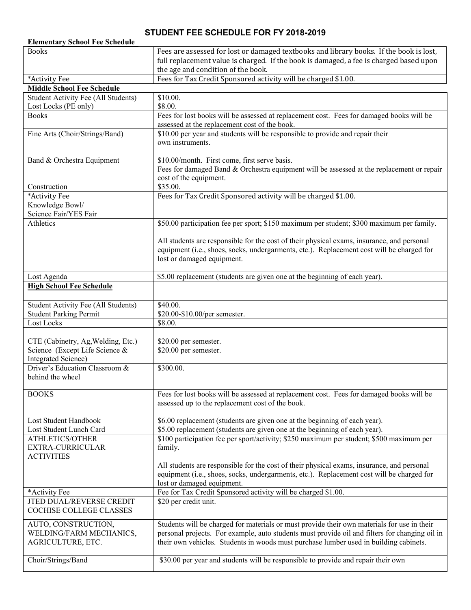## **STUDENT FEE SCHEDULE FOR FY 2018-2019**

| <b>Elementary School Fee Schedule</b><br><b>Books</b> | Fees are assessed for lost or damaged textbooks and library books. If the book is lost,           |
|-------------------------------------------------------|---------------------------------------------------------------------------------------------------|
|                                                       | full replacement value is charged. If the book is damaged, a fee is charged based upon            |
|                                                       | the age and condition of the book.                                                                |
| *Activity Fee                                         | Fees for Tax Credit Sponsored activity will be charged \$1.00.                                    |
| <b>Middle School Fee Schedule</b>                     |                                                                                                   |
| <b>Student Activity Fee (All Students)</b>            | \$10.00.                                                                                          |
| Lost Locks (PE only)                                  | \$8.00.                                                                                           |
| <b>Books</b>                                          | Fees for lost books will be assessed at replacement cost. Fees for damaged books will be          |
|                                                       | assessed at the replacement cost of the book.                                                     |
| Fine Arts (Choir/Strings/Band)                        | \$10.00 per year and students will be responsible to provide and repair their<br>own instruments. |
|                                                       |                                                                                                   |
| Band & Orchestra Equipment                            | \$10.00/month. First come, first serve basis.                                                     |
|                                                       | Fees for damaged Band & Orchestra equipment will be assessed at the replacement or repair         |
|                                                       | cost of the equipment.                                                                            |
| Construction                                          | \$35.00.                                                                                          |
| *Activity Fee                                         | Fees for Tax Credit Sponsored activity will be charged \$1.00.                                    |
| Knowledge Bowl/                                       |                                                                                                   |
| Science Fair/YES Fair                                 |                                                                                                   |
| Athletics                                             | \$50.00 participation fee per sport; \$150 maximum per student; \$300 maximum per family.         |
|                                                       |                                                                                                   |
|                                                       | All students are responsible for the cost of their physical exams, insurance, and personal        |
|                                                       | equipment (i.e., shoes, socks, undergarments, etc.). Replacement cost will be charged for         |
|                                                       | lost or damaged equipment.                                                                        |
| Lost Agenda                                           | \$5.00 replacement (students are given one at the beginning of each year).                        |
| <b>High School Fee Schedule</b>                       |                                                                                                   |
|                                                       |                                                                                                   |
| <b>Student Activity Fee (All Students)</b>            | \$40.00.                                                                                          |
| <b>Student Parking Permit</b>                         | \$20.00-\$10.00/per semester.                                                                     |
| Lost Locks                                            | \$8.00.                                                                                           |
|                                                       |                                                                                                   |
| CTE (Cabinetry, Ag, Welding, Etc.)                    | \$20.00 per semester.                                                                             |
| Science (Except Life Science &                        | \$20.00 per semester.                                                                             |
| Integrated Science)                                   |                                                                                                   |
| Driver's Education Classroom &                        | \$300.00.                                                                                         |
| behind the wheel                                      |                                                                                                   |
|                                                       |                                                                                                   |
| <b>BOOKS</b>                                          | Fees for lost books will be assessed at replacement cost. Fees for damaged books will be          |
|                                                       | assessed up to the replacement cost of the book.                                                  |
| Lost Student Handbook                                 | \$6.00 replacement (students are given one at the beginning of each year).                        |
| Lost Student Lunch Card                               | \$5.00 replacement (students are given one at the beginning of each year).                        |
| ATHLETICS/OTHER                                       | \$100 participation fee per sport/activity; \$250 maximum per student; \$500 maximum per          |
| EXTRA-CURRICULAR                                      | family.                                                                                           |
| <b>ACTIVITIES</b>                                     |                                                                                                   |
|                                                       | All students are responsible for the cost of their physical exams, insurance, and personal        |
|                                                       | equipment (i.e., shoes, socks, undergarments, etc.). Replacement cost will be charged for         |
|                                                       | lost or damaged equipment.                                                                        |
| *Activity Fee                                         | Fee for Tax Credit Sponsored activity will be charged \$1.00.                                     |
| JTED DUAL/REVERSE CREDIT                              | \$20 per credit unit.                                                                             |
| COCHISE COLLEGE CLASSES                               |                                                                                                   |
|                                                       |                                                                                                   |
| AUTO, CONSTRUCTION,                                   | Students will be charged for materials or must provide their own materials for use in their       |
|                                                       |                                                                                                   |
| WELDING/FARM MECHANICS,                               |                                                                                                   |
| AGRICULTURE, ETC.                                     | their own vehicles. Students in woods must purchase lumber used in building cabinets.             |
|                                                       | personal projects. For example, auto students must provide oil and filters for changing oil in    |
| Choir/Strings/Band                                    | \$30.00 per year and students will be responsible to provide and repair their own                 |